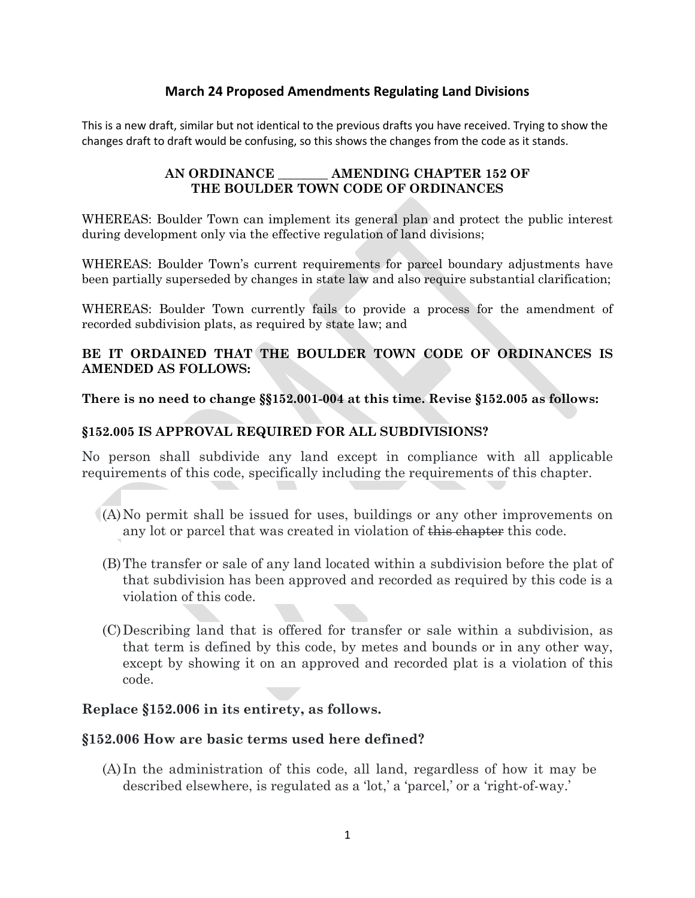# **March 24 Proposed Amendments Regulating Land Divisions**

This is a new draft, similar but not identical to the previous drafts you have received. Trying to show the changes draft to draft would be confusing, so this shows the changes from the code as it stands.

#### **AN ORDINANCE \_\_\_\_\_\_\_\_ AMENDING CHAPTER 152 OF THE BOULDER TOWN CODE OF ORDINANCES**

WHEREAS: Boulder Town can implement its general plan and protect the public interest during development only via the effective regulation of land divisions;

WHEREAS: Boulder Town's current requirements for parcel boundary adjustments have been partially superseded by changes in state law and also require substantial clarification;

WHEREAS: Boulder Town currently fails to provide a process for the amendment of recorded subdivision plats, as required by state law; and

# **BE IT ORDAINED THAT THE BOULDER TOWN CODE OF ORDINANCES IS AMENDED AS FOLLOWS:**

**There is no need to change §§152.001-004 at this time. Revise §152.005 as follows:**

## **§152.005 IS APPROVAL REQUIRED FOR ALL SUBDIVISIONS?**

No person shall subdivide any land except in compliance with all applicable requirements of this code, specifically including the requirements of this chapter.

- (A)No permit shall be issued for uses, buildings or any other improvements on any lot or parcel that was created in violation of this chapter this code.
- (B)The transfer or sale of any land located within a subdivision before the plat of that subdivision has been approved and recorded as required by this code is a violation of this code.
- (C)Describing land that is offered for transfer or sale within a subdivision, as that term is defined by this code, by metes and bounds or in any other way, except by showing it on an approved and recorded plat is a violation of this code.

## **Replace §152.006 in its entirety, as follows.**

## **§152.006 How are basic terms used here defined?**

(A) In the administration of this code, all land, regardless of how it may be described elsewhere, is regulated as a 'lot,' a 'parcel,' or a 'right-of-way.'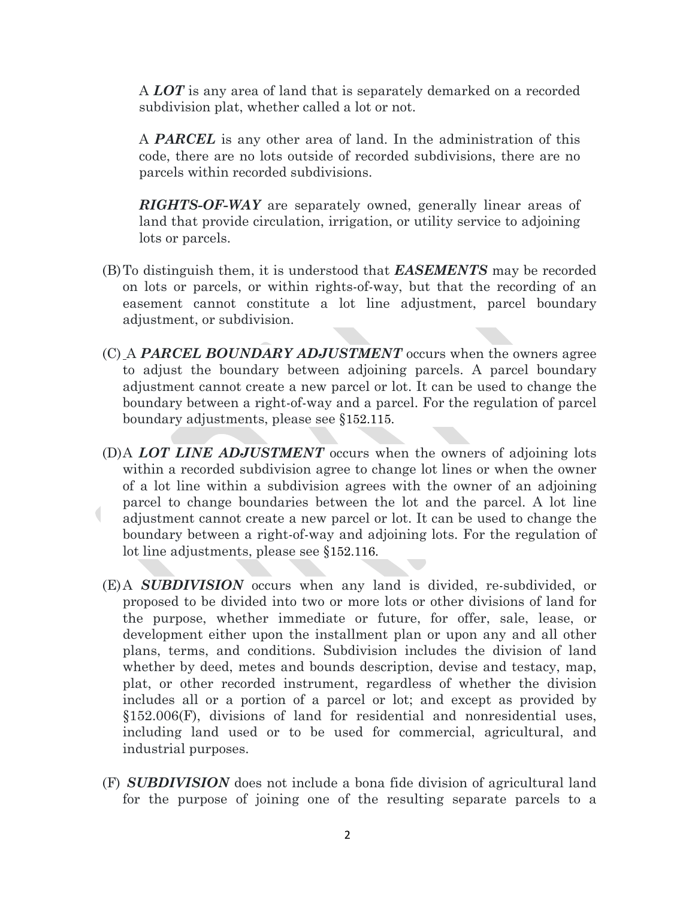A *LOT* is any area of land that is separately demarked on a recorded subdivision plat, whether called a lot or not.

A *PARCEL* is any other area of land. In the administration of this code, there are no lots outside of recorded subdivisions, there are no parcels within recorded subdivisions.

*RIGHTS-OF-WAY* are separately owned, generally linear areas of land that provide circulation, irrigation, or utility service to adjoining lots or parcels.

- (B)To distinguish them, it is understood that *EASEMENTS* may be recorded on lots or parcels, or within rights-of-way, but that the recording of an easement cannot constitute a lot line adjustment, parcel boundary adjustment, or subdivision.
- (C) A *PARCEL BOUNDARY ADJUSTMENT* occurs when the owners agree to adjust the boundary between adjoining parcels. A parcel boundary adjustment cannot create a new parcel or lot. It can be used to change the boundary between a right-of-way and a parcel. For the regulation of parcel boundary adjustments, please see §152.115.
- (D)A *LOT LINE ADJUSTMENT* occurs when the owners of adjoining lots within a recorded subdivision agree to change lot lines or when the owner of a lot line within a subdivision agrees with the owner of an adjoining parcel to change boundaries between the lot and the parcel. A lot line  $\overline{\phantom{a}}$ adjustment cannot create a new parcel or lot. It can be used to change the boundary between a right-of-way and adjoining lots. For the regulation of lot line adjustments, please see §152.116.
- (E)A *SUBDIVISION* occurs when any land is divided, re-subdivided, or proposed to be divided into two or more lots or other divisions of land for the purpose, whether immediate or future, for offer, sale, lease, or development either upon the installment plan or upon any and all other plans, terms, and conditions. Subdivision includes the division of land whether by deed, metes and bounds description, devise and testacy, map, plat, or other recorded instrument, regardless of whether the division includes all or a portion of a parcel or lot; and except as provided by §152.006(F), divisions of land for residential and nonresidential uses, including land used or to be used for commercial, agricultural, and industrial purposes.
- (F) *SUBDIVISION* does not include a bona fide division of agricultural land for the purpose of joining one of the resulting separate parcels to a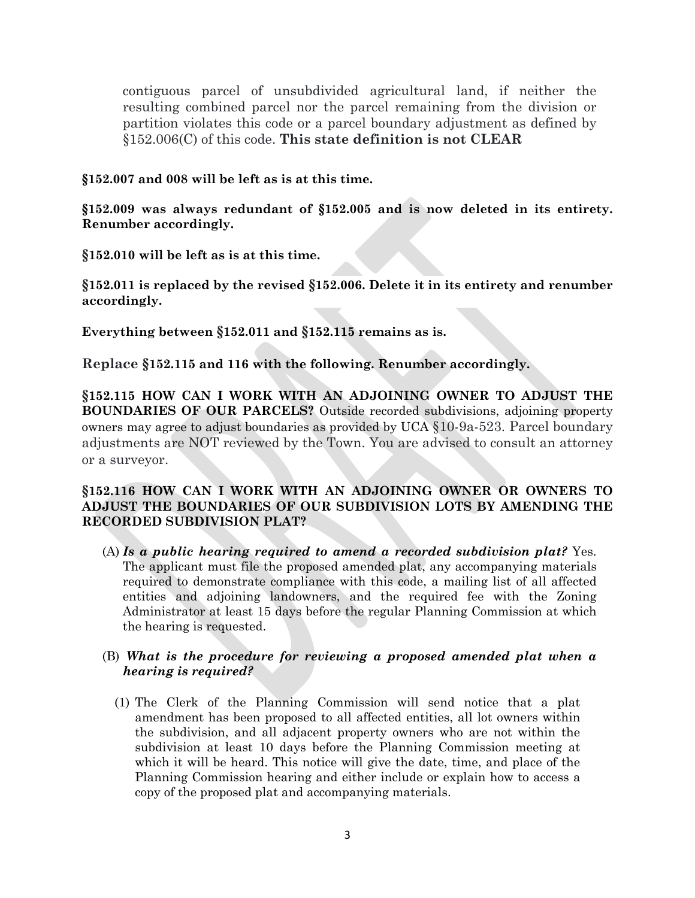contiguous parcel of unsubdivided agricultural land, if neither the resulting combined parcel nor the parcel remaining from the division or partition violates this code or a parcel boundary adjustment as defined by §152.006(C) of this code. **This state definition is not CLEAR**

#### **§152.007 and 008 will be left as is at this time.**

**§152.009 was always redundant of §152.005 and is now deleted in its entirety. Renumber accordingly.**

**§152.010 will be left as is at this time.** 

**§152.011 is replaced by the revised §152.006. Delete it in its entirety and renumber accordingly.**

**Everything between §152.011 and §152.115 remains as is.**

**Replace §152.115 and 116 with the following. Renumber accordingly.**

**§152.115 HOW CAN I WORK WITH AN ADJOINING OWNER TO ADJUST THE BOUNDARIES OF OUR PARCELS?** Outside recorded subdivisions, adjoining property owners may agree to adjust boundaries as provided by UCA §10-9a-523. Parcel boundary adjustments are NOT reviewed by the Town. You are advised to consult an attorney or a surveyor.

## **§152.116 HOW CAN I WORK WITH AN ADJOINING OWNER OR OWNERS TO ADJUST THE BOUNDARIES OF OUR SUBDIVISION LOTS BY AMENDING THE RECORDED SUBDIVISION PLAT?**

(A) *Is a public hearing required to amend a recorded subdivision plat?* Yes. The applicant must file the proposed amended plat, any accompanying materials required to demonstrate compliance with this code, a mailing list of all affected entities and adjoining landowners, and the required fee with the Zoning Administrator at least 15 days before the regular Planning Commission at which the hearing is requested.

## (B) *What is the procedure for reviewing a proposed amended plat when a hearing is required?*

(1) The Clerk of the Planning Commission will send notice that a plat amendment has been proposed to all affected entities, all lot owners within the subdivision, and all adjacent property owners who are not within the subdivision at least 10 days before the Planning Commission meeting at which it will be heard. This notice will give the date, time, and place of the Planning Commission hearing and either include or explain how to access a copy of the proposed plat and accompanying materials.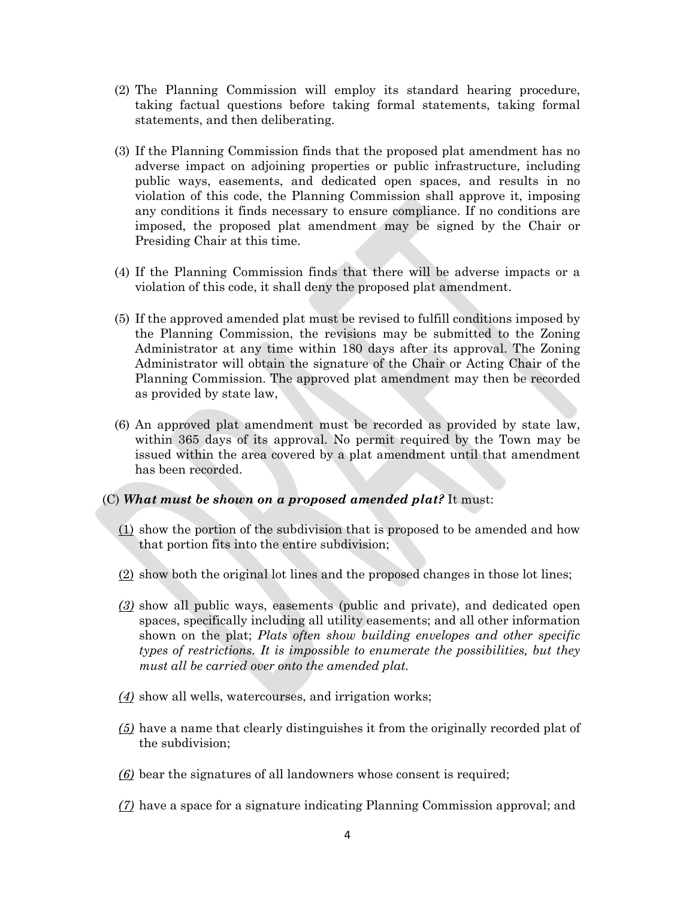- (2) The Planning Commission will employ its standard hearing procedure, taking factual questions before taking formal statements, taking formal statements, and then deliberating.
- (3) If the Planning Commission finds that the proposed plat amendment has no adverse impact on adjoining properties or public infrastructure, including public ways, easements, and dedicated open spaces, and results in no violation of this code, the Planning Commission shall approve it, imposing any conditions it finds necessary to ensure compliance. If no conditions are imposed, the proposed plat amendment may be signed by the Chair or Presiding Chair at this time.
- (4) If the Planning Commission finds that there will be adverse impacts or a violation of this code, it shall deny the proposed plat amendment.
- (5) If the approved amended plat must be revised to fulfill conditions imposed by the Planning Commission, the revisions may be submitted to the Zoning Administrator at any time within 180 days after its approval. The Zoning Administrator will obtain the signature of the Chair or Acting Chair of the Planning Commission. The approved plat amendment may then be recorded as provided by state law,
- (6) An approved plat amendment must be recorded as provided by state law, within 365 days of its approval. No permit required by the Town may be issued within the area covered by a plat amendment until that amendment has been recorded.

#### (C) *What must be shown on a proposed amended plat?* It must:

- $(1)$  show the portion of the subdivision that is proposed to be amended and how that portion fits into the entire subdivision;
- (2) show both the original lot lines and the proposed changes in those lot lines;
- *(3)* show all public ways, easements (public and private), and dedicated open spaces, specifically including all utility easements; and all other information shown on the plat; *Plats often show building envelopes and other specific types of restrictions. It is impossible to enumerate the possibilities, but they must all be carried over onto the amended plat.*
- *(4)* show all wells, watercourses, and irrigation works;
- *(5)* have a name that clearly distinguishes it from the originally recorded plat of the subdivision;
- *(6)* bear the signatures of all landowners whose consent is required;
- *(7)* have a space for a signature indicating Planning Commission approval; and